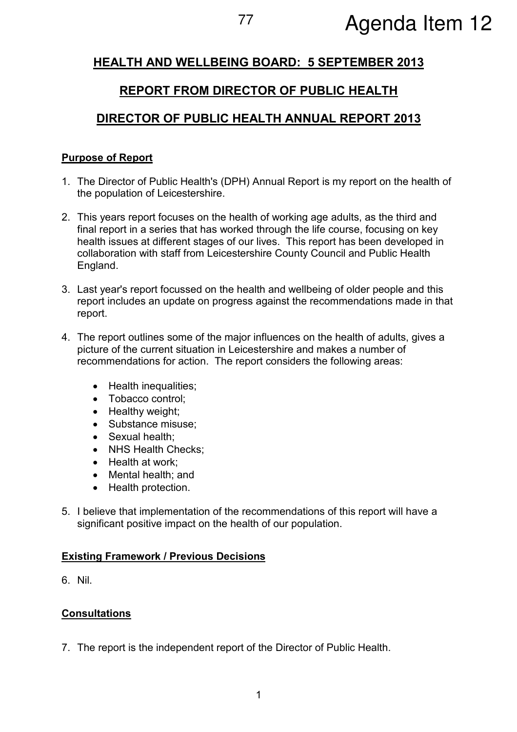# <sup>77</sup> Agenda Item 12

# HEALTH AND WELLBEING BOARD: 5 SEPTEMBER 2013

# REPORT FROM DIRECTOR OF PUBLIC HEALTH

# DIRECTOR OF PUBLIC HEALTH ANNUAL REPORT 2013

#### Purpose of Report

- 1. The Director of Public Health's (DPH) Annual Report is my report on the health of the population of Leicestershire.
- 2. This years report focuses on the health of working age adults, as the third and final report in a series that has worked through the life course, focusing on key health issues at different stages of our lives. This report has been developed in collaboration with staff from Leicestershire County Council and Public Health England.
- 3. Last year's report focussed on the health and wellbeing of older people and this report includes an update on progress against the recommendations made in that report.
- 4. The report outlines some of the major influences on the health of adults, gives a picture of the current situation in Leicestershire and makes a number of recommendations for action. The report considers the following areas:
	- Health inequalities;
	- Tobacco control;
	- Healthy weight;
	- Substance misuse:
	- Sexual health:
	- NHS Health Checks;
	- Health at work;
	- Mental health; and
	- Health protection.
- 5. I believe that implementation of the recommendations of this report will have a significant positive impact on the health of our population.

#### Existing Framework / Previous Decisions

6. Nil.

#### **Consultations**

7. The report is the independent report of the Director of Public Health.